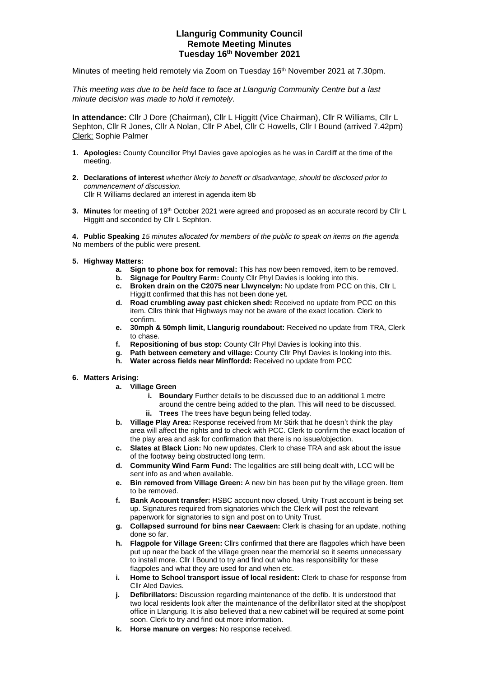# **Llangurig Community Council Remote Meeting Minutes Tuesday 16 th November 2021**

Minutes of meeting held remotely via Zoom on Tuesday 16<sup>th</sup> November 2021 at 7.30pm.

*This meeting was due to be held face to face at Llangurig Community Centre but a last minute decision was made to hold it remotely.*

**In attendance:** Cllr J Dore (Chairman), Cllr L Higgitt (Vice Chairman), Cllr R Williams, Cllr L Sephton, Cllr R Jones, Cllr A Nolan, Cllr P Abel, Cllr C Howells, Cllr I Bound (arrived 7.42pm) Clerk: Sophie Palmer

- **1. Apologies:** County Councillor Phyl Davies gave apologies as he was in Cardiff at the time of the meeting.
- **2. Declarations of interest** *whether likely to benefit or disadvantage, should be disclosed prior to commencement of discussion.*  Cllr R Williams declared an interest in agenda item 8b
- **3. Minutes** for meeting of 19th October 2021 were agreed and proposed as an accurate record by Cllr L Higgitt and seconded by Cllr L Sephton.

**4. Public Speaking** *15 minutes allocated for members of the public to speak on items on the agenda* No members of the public were present.

- **5. Highway Matters:** 
	- **a. Sign to phone box for removal:** This has now been removed, item to be removed.
	- **b. Signage for Poultry Farm:** County Cllr Phyl Davies is looking into this.
	- **c. Broken drain on the C2075 near Llwyncelyn:** No update from PCC on this, Cllr L Higgitt confirmed that this has not been done yet.
	- **d. Road crumbling away past chicken shed:** Received no update from PCC on this item. Cllrs think that Highways may not be aware of the exact location. Clerk to confirm.
	- **e. 30mph & 50mph limit, Llangurig roundabout:** Received no update from TRA, Clerk to chase.
	- **f. Repositioning of bus stop:** County Cllr Phyl Davies is looking into this.
	- **g. Path between cemetery and village:** County Cllr Phyl Davies is looking into this.
	- **h. Water across fields near Minffordd:** Received no update from PCC
- **6. Matters Arising:** 
	- **a. Village Green**
		- **i. Boundary** Further details to be discussed due to an additional 1 metre around the centre being added to the plan. This will need to be discussed. **ii. Trees** The trees have begun being felled today.
	- **b. Village Play Area:** Response received from Mr Stirk that he doesn't think the play area will affect the rights and to check with PCC. Clerk to confirm the exact location of the play area and ask for confirmation that there is no issue/objection.
	- **c. Slates at Black Lion:** No new updates. Clerk to chase TRA and ask about the issue of the footway being obstructed long term.
	- **d. Community Wind Farm Fund:** The legalities are still being dealt with, LCC will be sent info as and when available.
	- **e. Bin removed from Village Green:** A new bin has been put by the village green. Item to be removed.
	- **f. Bank Account transfer:** HSBC account now closed, Unity Trust account is being set up. Signatures required from signatories which the Clerk will post the relevant paperwork for signatories to sign and post on to Unity Trust.
	- **g. Collapsed surround for bins near Caewaen:** Clerk is chasing for an update, nothing done so far.
	- **h. Flagpole for Village Green:** Cllrs confirmed that there are flagpoles which have been put up near the back of the village green near the memorial so it seems unnecessary to install more. Cllr I Bound to try and find out who has responsibility for these flagpoles and what they are used for and when etc.
	- **i. Home to School transport issue of local resident:** Clerk to chase for response from Cllr Aled Davies.
	- **j. Defibrillators:** Discussion regarding maintenance of the defib. It is understood that two local residents look after the maintenance of the defibrillator sited at the shop/post office in Llangurig. It is also believed that a new cabinet will be required at some point soon. Clerk to try and find out more information.
	- **k. Horse manure on verges:** No response received.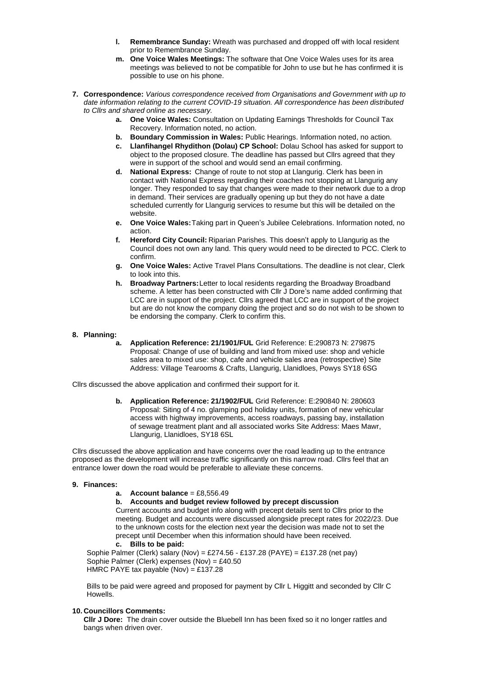- **l. Remembrance Sunday:** Wreath was purchased and dropped off with local resident prior to Remembrance Sunday.
- **m. One Voice Wales Meetings:** The software that One Voice Wales uses for its area meetings was believed to not be compatible for John to use but he has confirmed it is possible to use on his phone.
- **7. Correspondence:** *Various correspondence received from Organisations and Government with up to date information relating to the current COVID-19 situation. All correspondence has been distributed to Cllrs and shared online as necessary.*
	- **a. One Voice Wales:** Consultation on Updating Earnings Thresholds for Council Tax Recovery. Information noted, no action.
	- **b. Boundary Commission in Wales:** Public Hearings. Information noted, no action.
	- **c. Llanfihangel Rhydithon (Dolau) CP School:** Dolau School has asked for support to object to the proposed closure. The deadline has passed but Cllrs agreed that they were in support of the school and would send an email confirming.
	- **d. National Express:** Change of route to not stop at Llangurig. Clerk has been in contact with National Express regarding their coaches not stopping at Llangurig any longer. They responded to say that changes were made to their network due to a drop in demand. Their services are gradually opening up but they do not have a date scheduled currently for Llangurig services to resume but this will be detailed on the website.
	- **e. One Voice Wales:**Taking part in Queen's Jubilee Celebrations. Information noted, no action.
	- **f. Hereford City Council:** Riparian Parishes. This doesn't apply to Llangurig as the Council does not own any land. This query would need to be directed to PCC. Clerk to confirm.
	- **g. One Voice Wales:** Active Travel Plans Consultations. The deadline is not clear, Clerk to look into this.
	- **h. Broadway Partners:**Letter to local residents regarding the Broadway Broadband scheme. A letter has been constructed with Cllr J Dore's name added confirming that LCC are in support of the project. Cllrs agreed that LCC are in support of the project but are do not know the company doing the project and so do not wish to be shown to be endorsing the company. Clerk to confirm this.

## **8. Planning:**

**a. Application Reference: 21/1901/FUL** Grid Reference: E:290873 N: 279875 Proposal: Change of use of building and land from mixed use: shop and vehicle sales area to mixed use: shop, cafe and vehicle sales area (retrospective) Site Address: Village Tearooms & Crafts, Llangurig, Llanidloes, Powys SY18 6SG

Cllrs discussed the above application and confirmed their support for it.

**b. Application Reference: 21/1902/FUL** Grid Reference: E:290840 N: 280603 Proposal: Siting of 4 no. glamping pod holiday units, formation of new vehicular access with highway improvements, access roadways, passing bay, installation of sewage treatment plant and all associated works Site Address: Maes Mawr, Llangurig, Llanidloes, SY18 6SL

Cllrs discussed the above application and have concerns over the road leading up to the entrance proposed as the development will increase traffic significantly on this narrow road. Cllrs feel that an entrance lower down the road would be preferable to alleviate these concerns.

### **9. Finances:**

### **a.** Account balance  $=$  £8,556,49

**b. Accounts and budget review followed by precept discussion** Current accounts and budget info along with precept details sent to Cllrs prior to the meeting. Budget and accounts were discussed alongside precept rates for 2022/23. Due to the unknown costs for the election next year the decision was made not to set the precept until December when this information should have been received.

**c. Bills to be paid:**

Sophie Palmer (Clerk) salary (Nov) = £274.56 - £137.28 (PAYE) = £137.28 (net pay) Sophie Palmer (Clerk) expenses (Nov) = £40.50 HMRC PAYE tax payable  $(Nov) = £137.28$ 

Bills to be paid were agreed and proposed for payment by Cllr L Higgitt and seconded by Cllr C Howells.

### **10. Councillors Comments:**

**Cllr J Dore:** The drain cover outside the Bluebell Inn has been fixed so it no longer rattles and bangs when driven over.